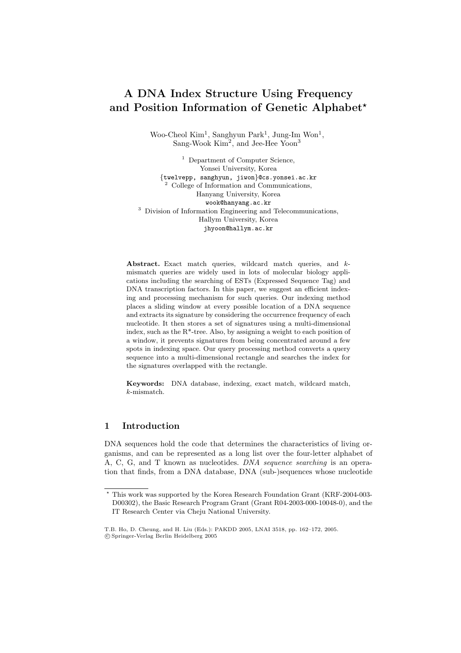# <span id="page-0-0"></span>**A DNA Index Structure Using Frequency and Position Information of Genetic Alphabet**

Woo-Cheol  $Kim<sup>1</sup>$ , Sanghyun Park<sup>1</sup>, Jung-Im Won<sup>1</sup>, Sang-Wook Kim<sup>2</sup>, and Jee-Hee Yoon<sup>3</sup>

<sup>1</sup> Department of Computer Science, Yonsei University, Korea *{*twelvepp, sanghyun, jiwon*}*@cs.yonsei.ac.kr <sup>2</sup> College of Information and Communications, Hanyang University, Korea wook@hanyang.ac.kr 3 Division of Information Engineering and Telecommunications, Hallym University, Korea jhyoon@hallym.ac.kr

**Abstract.** Exact match queries, wildcard match queries, and *k*mismatch queries are widely used in lots of molecular biology applications including the searching of ESTs (Expressed Sequence Tag) and DNA transcription factors. In this paper, we suggest an efficient indexing and processing mechanism for such queries. Our indexing method places a sliding window at every possible location of a DNA sequence and extracts its signature by considering the occurrence frequency of each nucleotide. It then stores a set of signatures using a multi-dimensional index, such as the  $R^*$ -tree. Also, by assigning a weight to each position of a window, it prevents signatures from being concentrated around a few spots in indexing space. Our query processing method converts a query sequence into a multi-dimensional rectangle and searches the index for the signatures overlapped with the rectangle.

**Keywords:** DNA database, indexing, exact match, wildcard match, *k*-mismatch.

## **1 Introduction**

DNA sequences hold the code that determines the characteristics of living organisms, and can be represented as a long list over the four-letter alphabet of A, C, G, and T known as nucleotides. *DNA sequence searching* is an operation that finds, from a DNA database, DNA (sub-)sequences whose nucleotide

This work was supported by the Korea Research Foundation Grant (KRF-2004-003- D00302), the Basic Research Program Grant (Grant R04-2003-000-10048-0), and the IT Research Center via Cheju National University.

T.B. Ho, D. Cheung, and H. Liu (Eds.): PAKDD 2005, LNAI 3518, pp. [162–](#page-0-0)[172,](#page-10-0) 2005. c Springer-Verlag Berlin Heidelberg 2005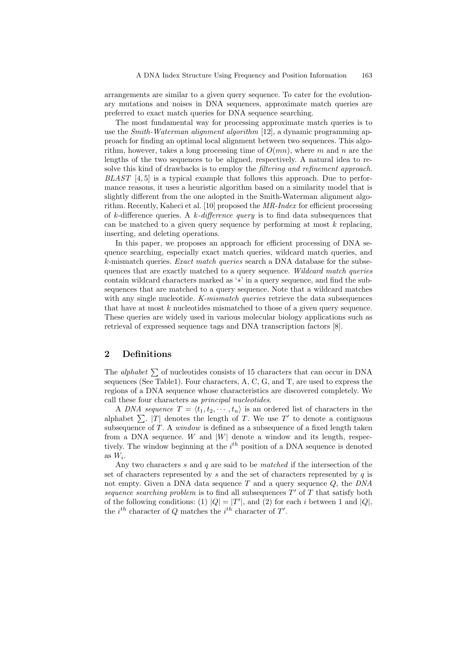arrangements are similar to a given query sequence. To cater for the evolutionary mutations and noises in DNA sequences, approximate match queries are preferred to exact match queries for DNA sequence searching.

The most fundamental way for processing approximate match queries is to use the *Smith-Waterman alignment algorithm* [\[12\]](#page-10-1), a dynamic programming approach for finding an optimal local alignment between two sequences. This algorithm, however, takes a long processing time of  $O(mn)$ , where *m* and *n* are the lengths of the two sequences to be aligned, respectively. A natural idea to resolve this kind of drawbacks is to employ the *filtering and refinement approach*. *BLAST* [\[4,](#page-9-0) [5\]](#page-9-1) is a typical example that follows this approach. Due to performance reasons, it uses a heuristic algorithm based on a similarity model that is slightly different from the one adopted in the Smith-Waterman alignment algorithm. Recently, Kaheci et al. [\[10\]](#page-10-2) proposed the *MR-Index* for efficient processing of *k*-difference queries. A *k-difference query* is to find data subsequences that can be matched to a given query sequence by performing at most *k* replacing, inserting, and deleting operations.

In this paper, we proposes an approach for efficient processing of DNA sequence searching, especially exact match queries, wildcard match queries, and *k*-mismatch queries. *Exact match queries* search a DNA database for the subsequences that are exactly matched to a query sequence. *Wildcard match queries* contain wildcard characters marked as '∗' in a query sequence, and find the subsequences that are matched to a query sequence. Note that a wildcard matches with any single nucleotide. *K-mismatch queries* retrieve the data subsequences that have at most *k* nucleotides mismatched to those of a given query sequence. These queries are widely used in various molecular biology applications such as retrieval of expressed sequence tags and DNA transcription factors [\[8\]](#page-9-2).

# **2 Definitions**

The *alphabet*  $\sum$  of nucleotides consists of 15 characters that can occur in DNA sequences (See Table1). Four characters, A, C, G, and T, are used to express the regions of a DNA sequence whose characteristics are discovered completely. We call these four characters as *principal nucleotides*.

A *DNA sequence*  $T = \langle t_1, t_2, \dots, t_n \rangle$  is an ordered list of characters in the alphabet  $\sum$ .  $|T|$  denotes the length of *T*. We use *T*<sup> $\prime$ </sup> to denote a contiguous subsequence of *T*. A *window* is defined as a subsequence of a fixed length taken from a DNA sequence. *<sup>W</sup>* and <sup>|</sup>*W*<sup>|</sup> denote a window and its length, respectively. The window beginning at the  $i^{th}$  position of a DNA sequence is denoted as *Wi*.

Any two characters *s* and *q* are said to be *matched* if the intersection of the set of characters represented by *s* and the set of characters represented by *q* is not empty. Given a DNA data sequence *T* and a query sequence *Q*, the *DNA* sequence searching problem is to find all subsequences  $T'$  of  $T$  that satisfy both of the following conditions: (1)  $|Q| = |T'|$ , and (2) for each *i* between 1 and  $|Q|$ , the  $i^{th}$  character of  $Q$  matches the  $i^{th}$  character of  $T'$ .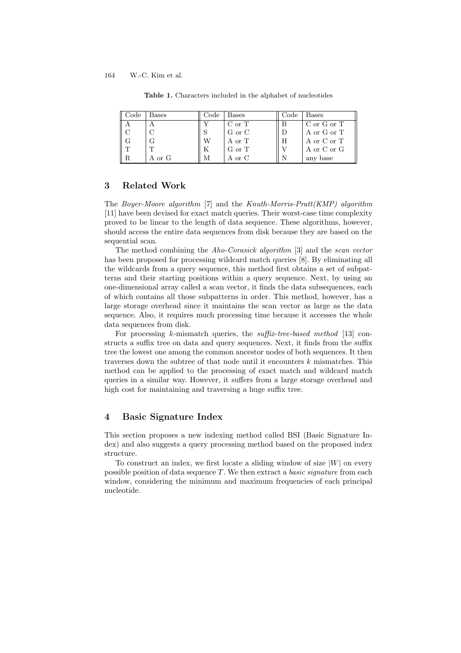| Code         | Bases  | .Jode | Bases  | Code | <b>Bases</b> |
|--------------|--------|-------|--------|------|--------------|
|              |        |       | C or T | B    | C or G or T  |
|              |        |       | G or C | D    | A or G or T  |
|              |        |       | A or T | H    | A or C or T  |
| $\mathbf{T}$ | ጡ      |       | G or T |      | A or C or G  |
|              | A or G | M     | A or C |      | any base     |

**Table 1.** Characters included in the alphabet of nucleotides

## **3 Related Work**

The *Boyer-Moore algorithm* [\[7\]](#page-9-3) and the *Knuth-Morris-Pratt(KMP) algorithm* [\[11\]](#page-10-3) have been devised for exact match queries. Their worst-case time complexity proved to be linear to the length of data sequence. These algorithms, however, should access the entire data sequences from disk because they are based on the sequential scan.

The method combining the *Aho-Corasick algorithm* [\[3\]](#page-9-4) and the *scan vector* has been proposed for processing wildcard match queries [\[8\]](#page-9-2). By eliminating all the wildcards from a query sequence, this method first obtains a set of subpatterns and their starting positions within a query sequence. Next, by using an one-dimensional array called a scan vector, it finds the data subsequences, each of which contains all those subpatterns in order. This method, however, has a large storage overhead since it maintains the scan vector as large as the data sequence. Also, it requires much processing time because it accesses the whole data sequences from disk.

For processing *k*-mismatch queries, the *suffix-tree-based method* [\[13\]](#page-10-4) constructs a suffix tree on data and query sequences. Next, it finds from the suffix tree the lowest one among the common ancestor nodes of both sequences. It then traverses down the subtree of that node until it encounters *k* mismatches. This method can be applied to the processing of exact match and wildcard match queries in a similar way. However, it suffers from a large storage overhead and high cost for maintaining and traversing a huge suffix tree.

# **4 Basic Signature Index**

This section proposes a new indexing method called BSI (Basic Signature Index) and also suggests a query processing method based on the proposed index structure.

To construct an index, we first locate a sliding window of size  $|W|$  on every possible position of data sequence *T*. We then extract a *basic signature* from each window, considering the minimum and maximum frequencies of each principal nucleotide.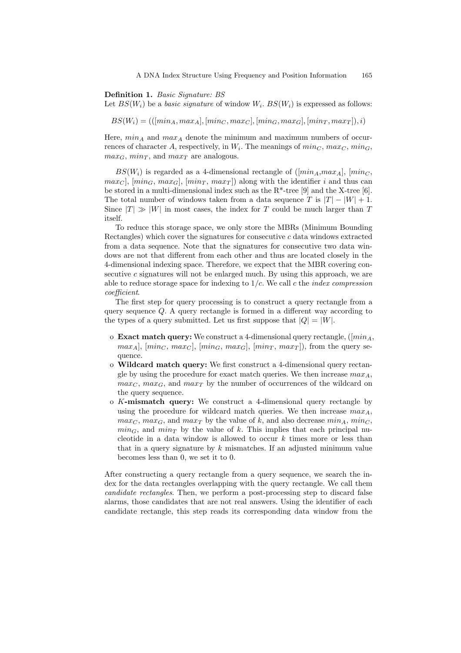#### **Definition 1.** *Basic Signature: BS*

Let  $BS(W_i)$  be a *basic signature* of window  $W_i$ .  $BS(W_i)$  is expressed as follows:

 $BS(W_i) = (([min_A, max_A], [min_C, max_C], [min_G, max_G], [min_T, max_T]), i)$ 

Here, *min<sup>A</sup>* and *max<sup>A</sup>* denote the minimum and maximum numbers of occurrences of character A, respectively, in  $W_i$ . The meanings of  $min_C, max_C, min_G$ ,  $max<sub>G</sub>$ ,  $min<sub>T</sub>$ , and  $max<sub>T</sub>$  are analogous.

*BS*( $W_i$ ) is regarded as a 4-dimensional rectangle of ( $\{min_A, max_A\}$ ,  $\{min_C,$  $max_C$ ,  $\left\{ min_G, max_G \right\}$ ,  $\left\{ min_T, max_T \right\}$  along with the identifier *i* and thus can be stored in a multi-dimensional index such as the  $R^*$ -tree [\[9\]](#page-10-5) and the X-tree [\[6\]](#page-9-5). The total number of windows taken from a data sequence *T* is  $|T| - |W| + 1$ . Since  $|T| \gg |W|$  in most cases, the index for *T* could be much larger than *T* itself.

To reduce this storage space, we only store the MBRs (Minimum Bounding Rectangles) which cover the signatures for consecutive *c* data windows extracted from a data sequence. Note that the signatures for consecutive two data windows are not that different from each other and thus are located closely in the 4-dimensional indexing space. Therefore, we expect that the MBR covering consecutive *c* signatures will not be enlarged much. By using this approach, we are able to reduce storage space for indexing to 1*/c*. We call *c* the *index compression coefficient*.

The first step for query processing is to construct a query rectangle from a query sequence  $Q$ . A query rectangle is formed in a different way according to the types of a query submitted. Let us first suppose that  $|Q| = |W|$ .

- o **Exact match query:** We construct a 4-dimensional query rectangle, ([*minA*, *max<sub>A</sub>*],  $[min_C, max_C]$ ,  $[min_G, max_G]$ ,  $[min_T, max_T]$ ), from the query sequence.
- o **Wildcard match query:** We first construct a 4-dimensional query rectangle by using the procedure for exact match queries. We then increase *maxA*,  $max<sub>C</sub>$ ,  $max<sub>G</sub>$ , and  $max<sub>T</sub>$  by the number of occurrences of the wildcard on the query sequence.
- o *K***-mismatch query:** We construct a 4-dimensional query rectangle by using the procedure for wildcard match queries. We then increase *maxA*,  $max_C$ ,  $max_G$ , and  $max_T$  by the value of *k*, and also decrease  $min_A$ ,  $min_C$ ,  $min<sub>G</sub>$ , and  $min<sub>T</sub>$  by the value of *k*. This implies that each principal nucleotide in a data window is allowed to occur *k* times more or less than that in a query signature by *k* mismatches. If an adjusted minimum value becomes less than 0, we set it to 0.

After constructing a query rectangle from a query sequence, we search the index for the data rectangles overlapping with the query rectangle. We call them *candidate rectangles*. Then, we perform a post-processing step to discard false alarms, those candidates that are not real answers. Using the identifier of each candidate rectangle, this step reads its corresponding data window from the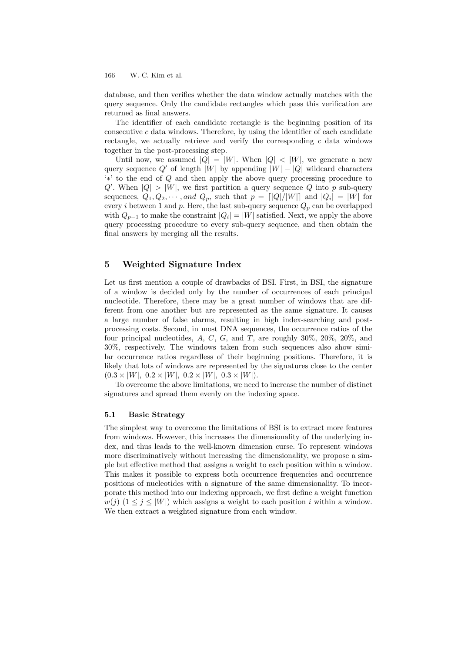database, and then verifies whether the data window actually matches with the query sequence. Only the candidate rectangles which pass this verification are returned as final answers.

The identifier of each candidate rectangle is the beginning position of its consecutive *c* data windows. Therefore, by using the identifier of each candidate rectangle, we actually retrieve and verify the corresponding *c* data windows together in the post-processing step.

Until now, we assumed  $|Q| = |W|$ . When  $|Q| < |W|$ , we generate a new query sequence  $Q'$  of length  $|W|$  by appending  $|W| - |Q|$  wildcard characters '∗' to the end of *<sup>Q</sup>* and then apply the above query processing procedure to  $Q'$ . When  $|Q| > |W|$ , we first partition a query sequence  $Q$  into  $p$  sub-query sequences,  $Q_1, Q_2, \cdots, and Q_p$ , such that  $p = \lfloor |Q|/|W| \rfloor$  and  $|Q_i| = |W|$  for every *i* between 1 and *p*. Here, the last sub-query sequence  $Q_p$  can be overlapped with  $Q_{p-1}$  to make the constraint  $|Q_i| = |W|$  satisfied. Next, we apply the above query processing procedure to every sub-query sequence, and then obtain the final answers by merging all the results.

# **5 Weighted Signature Index**

Let us first mention a couple of drawbacks of BSI. First, in BSI, the signature of a window is decided only by the number of occurrences of each principal nucleotide. Therefore, there may be a great number of windows that are different from one another but are represented as the same signature. It causes a large number of false alarms, resulting in high index-searching and postprocessing costs. Second, in most DNA sequences, the occurrence ratios of the four principal nucleotides,  $A$ ,  $C$ ,  $G$ , and  $T$ , are roughly 30%, 20%, 20%, and 30%, respectively. The windows taken from such sequences also show similar occurrence ratios regardless of their beginning positions. Therefore, it is likely that lots of windows are represented by the signatures close to the center  $(0.3 \times |W|, 0.2 \times |W|, 0.2 \times |W|, 0.3 \times |W|).$ 

To overcome the above limitations, we need to increase the number of distinct signatures and spread them evenly on the indexing space.

#### **5.1 Basic Strategy**

The simplest way to overcome the limitations of BSI is to extract more features from windows. However, this increases the dimensionality of the underlying index, and thus leads to the well-known dimension curse. To represent windows more discriminatively without increasing the dimensionality, we propose a simple but effective method that assigns a weight to each position within a window. This makes it possible to express both occurrence frequencies and occurrence positions of nucleotides with a signature of the same dimensionality. To incorporate this method into our indexing approach, we first define a weight function  $w(j)$  ( $1 \leq j \leq |W|$ ) which assigns a weight to each position *i* within a window. We then extract a weighted signature from each window.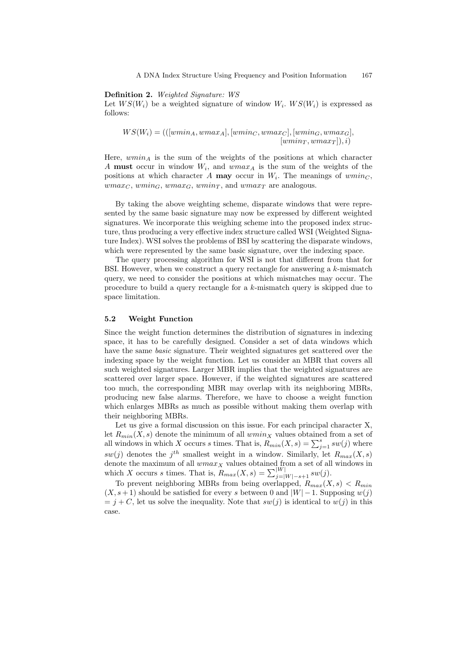#### **Definition 2.** *Weighted Signature: WS*

Let  $WS(W_i)$  be a weighted signature of window  $W_i$ .  $WS(W_i)$  is expressed as follows:

$$
WS(W_i)=(([wmin_A,wmax_A],[wmin_C,wmax_C],[wmin_G,wmax_G],\\[wmin_T,wmax_T]),i)
$$

Here, *wmin<sup>A</sup>* is the sum of the weights of the positions at which character *A* **must** occur in window *Wi*, and *wmax<sup>A</sup>* is the sum of the weights of the positions at which character *A* **may** occur in  $W_i$ . The meanings of *wmin<sub>C</sub>*,  $wmax_C$ ,  $wmin_G$ ,  $wmax_G$ ,  $wmin_T$ , and  $wmax_T$  are analogous.

By taking the above weighting scheme, disparate windows that were represented by the same basic signature may now be expressed by different weighted signatures. We incorporate this weighing scheme into the proposed index structure, thus producing a very effective index structure called WSI (Weighted Signature Index). WSI solves the problems of BSI by scattering the disparate windows, which were represented by the same basic signature, over the indexing space.

The query processing algorithm for WSI is not that different from that for BSI. However, when we construct a query rectangle for answering a *k*-mismatch query, we need to consider the positions at which mismatches may occur. The procedure to build a query rectangle for a *k*-mismatch query is skipped due to space limitation.

#### **5.2 Weight Function**

Since the weight function determines the distribution of signatures in indexing space, it has to be carefully designed. Consider a set of data windows which have the same *basic* signature. Their weighted signatures get scattered over the indexing space by the weight function. Let us consider an MBR that covers all such weighted signatures. Larger MBR implies that the weighted signatures are scattered over larger space. However, if the weighted signatures are scattered too much, the corresponding MBR may overlap with its neighboring MBRs, producing new false alarms. Therefore, we have to choose a weight function which enlarges MBRs as much as possible without making them overlap with their neighboring MBRs.

Let us give a formal discussion on this issue. For each principal character X, let  $R_{min}(X, s)$  denote the minimum of all  $wmin_X$  values obtained from a set of all windows in which *X* occurs *s* times. That is,  $R_{min}(X, s) = \sum_{j=1}^{s} sw(j)$  where  $sw(j)$  denotes the *j*<sup>th</sup> smallest weight in a window. Similarly, let  $R_{max}(X, s)$ denote the maximum of all  $wmax_X$  values obtained from a set of all windows in which *X* occurs *s* times. That is,  $R_{max}(X, s) = \sum_{j=|W|-s+1}^{|W|} sw(j)$ .

To prevent neighboring MBRs from being overlapped,  $R_{max}(X,s) < R_{min}$  $(X, s+1)$  should be satisfied for every *s* between 0 and  $|W|-1$ . Supposing  $w(j)$  $j = j + C$ , let us solve the inequality. Note that  $sw(j)$  is identical to  $w(j)$  in this case.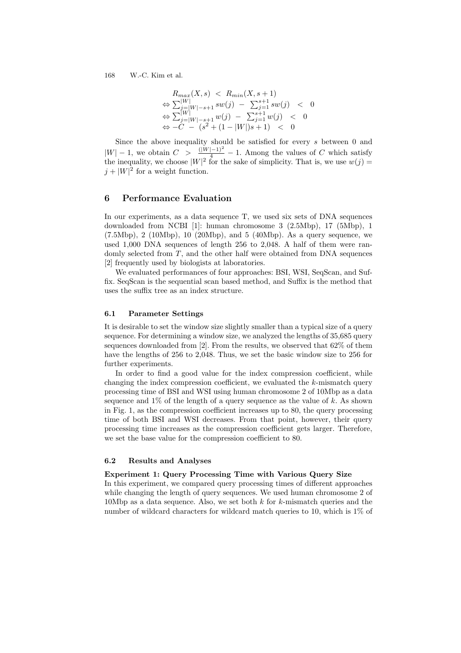$$
R_{max}(X, s) < R_{min}(X, s+1)
$$
\n
$$
\Leftrightarrow \sum_{j=|W|-s+1}^{|W|} sw(j) - \sum_{j=1}^{s+1} sw(j) < 0
$$
\n
$$
\Leftrightarrow \sum_{j=|W|-s+1}^{|W|} w(j) - \sum_{j=1}^{s+1} w(j) < 0
$$
\n
$$
\Leftrightarrow -C - (s^2 + (1 - |W|)s + 1) < 0
$$

Since the above inequality should be satisfied for every *s* between 0 and  $|W| - 1$ , we obtain  $C > \frac{(|W| - 1)^2}{4} - 1$ . Among the values of *C* which satisfy the inequality, we choose  $|W|^2$  for the sake of simplicity. That is, we use  $w(j)$  =  $j + |W|^2$  for a weight function.

## **6 Performance Evaluation**

In our experiments, as a data sequence T, we used six sets of DNA sequences downloaded from NCBI [\[1\]](#page-9-6): human chromosome 3 (2.5Mbp), 17 (5Mbp), 1  $(7.5Mbp)$ ,  $2(10Mbp)$ ,  $10(20Mbp)$ , and  $5(40Mbp)$ . As a query sequence, we used 1,000 DNA sequences of length 256 to 2,048. A half of them were randomly selected from *T*, and the other half were obtained from DNA sequences [\[2\]](#page-9-7) frequently used by biologists at laboratories.

We evaluated performances of four approaches: BSI, WSI, SeqScan, and Suffix. SeqScan is the sequential scan based method, and Suffix is the method that uses the suffix tree as an index structure.

## **6.1 Parameter Settings**

It is desirable to set the window size slightly smaller than a typical size of a query sequence. For determining a window size, we analyzed the lengths of 35,685 query sequences downloaded from [\[2\]](#page-9-7). From the results, we observed that 62% of them have the lengths of 256 to 2,048. Thus, we set the basic window size to 256 for further experiments.

In order to find a good value for the index compression coefficient, while changing the index compression coefficient, we evaluated the *k*-mismatch query processing time of BSI and WSI using human chromosome 2 of 10Mbp as a data sequence and 1% of the length of a query sequence as the value of *k*. As shown in Fig. 1, as the compression coefficient increases up to 80, the query processing time of both BSI and WSI decreases. From that point, however, their query processing time increases as the compression coefficient gets larger. Therefore, we set the base value for the compression coefficient to 80.

#### **6.2 Results and Analyses**

## **Experiment 1: Query Processing Time with Various Query Size**

In this experiment, we compared query processing times of different approaches while changing the length of query sequences. We used human chromosome 2 of 10Mbp as a data sequence. Also, we set both *k* for *k*-mismatch queries and the number of wildcard characters for wildcard match queries to 10, which is 1% of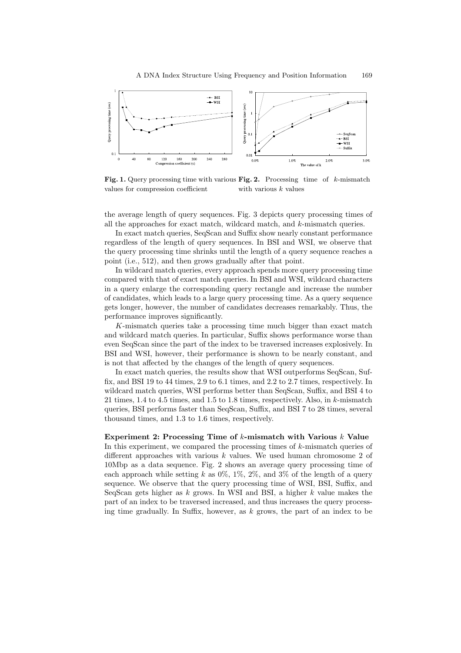

**Fig. 1.** Query processing time with various **Fig. 2.** Processing time of *k*-mismatch values for compression coefficient with various *k* values

the average length of query sequences. Fig. 3 depicts query processing times of all the approaches for exact match, wildcard match, and *k*-mismatch queries.

In exact match queries, SeqScan and Suffix show nearly constant performance regardless of the length of query sequences. In BSI and WSI, we observe that the query processing time shrinks until the length of a query sequence reaches a point (i.e., 512), and then grows gradually after that point.

In wildcard match queries, every approach spends more query processing time compared with that of exact match queries. In BSI and WSI, wildcard characters in a query enlarge the corresponding query rectangle and increase the number of candidates, which leads to a large query processing time. As a query sequence gets longer, however, the number of candidates decreases remarkably. Thus, the performance improves significantly.

*K*-mismatch queries take a processing time much bigger than exact match and wildcard match queries. In particular, Suffix shows performance worse than even SeqScan since the part of the index to be traversed increases explosively. In BSI and WSI, however, their performance is shown to be nearly constant, and is not that affected by the changes of the length of query sequences.

In exact match queries, the results show that WSI outperforms SeqScan, Suffix, and BSI 19 to 44 times, 2.9 to 6.1 times, and 2.2 to 2.7 times, respectively. In wildcard match queries, WSI performs better than SeqScan, Suffix, and BSI 4 to 21 times, 1.4 to 4.5 times, and 1.5 to 1.8 times, respectively. Also, in *k*-mismatch queries, BSI performs faster than SeqScan, Suffix, and BSI 7 to 28 times, several thousand times, and 1.3 to 1.6 times, respectively.

#### **Experiment 2: Processing Time of** *k***-mismatch with Various** *k* **Value**

In this experiment, we compared the processing times of *k*-mismatch queries of different approaches with various *k* values. We used human chromosome 2 of 10Mbp as a data sequence. Fig. 2 shows an average query processing time of each approach while setting  $k$  as  $0\%$ ,  $1\%$ ,  $2\%$ , and  $3\%$  of the length of a query sequence. We observe that the query processing time of WSI, BSI, Suffix, and SeqScan gets higher as *k* grows. In WSI and BSI, a higher *k* value makes the part of an index to be traversed increased, and thus increases the query processing time gradually. In Suffix, however, as *k* grows, the part of an index to be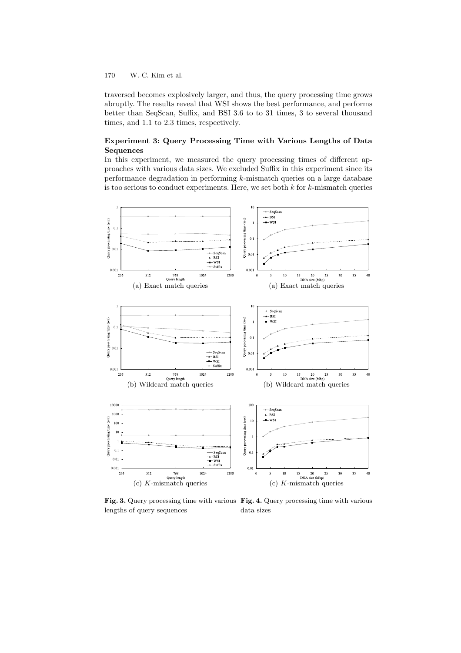traversed becomes explosively larger, and thus, the query processing time grows abruptly. The results reveal that WSI shows the best performance, and performs better than SeqScan, Suffix, and BSI 3.6 to to 31 times, 3 to several thousand times, and 1.1 to 2.3 times, respectively.

# **Experiment 3: Query Processing Time with Various Lengths of Data Sequences**

In this experiment, we measured the query processing times of different approaches with various data sizes. We excluded Suffix in this experiment since its performance degradation in performing *k*-mismatch queries on a large database is too serious to conduct experiments. Here, we set both *k* for *k*-mismatch queries



**Fig. 3.** Query processing time with various **Fig. 4.** Query processing time with various lengths of query sequences data sizes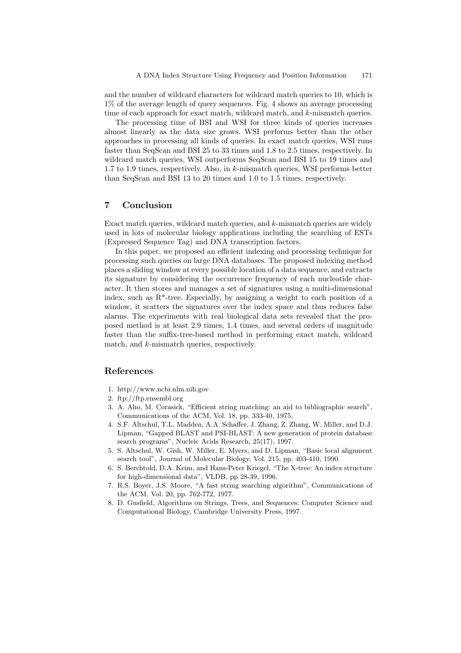and the number of wildcard characters for wildcard match queries to 10, which is 1% of the average length of query sequences. Fig. 4 shows an average processing time of each approach for exact match, wildcard match, and *k*-mismatch queries.

The processing time of BSI and WSI for three kinds of queries increases almost linearly as the data size grows. WSI performs better than the other approaches in processing all kinds of queries. In exact match queries, WSI runs faster than SeqScan and BSI 25 to 33 times and 1.8 to 2.5 times, respectively. In wildcard match queries, WSI outperforms SeqScan and BSI 15 to 19 times and 1.7 to 1.9 times, respectively. Also, in *k*-mismatch queries, WSI performs better than SeqScan and BSI 13 to 20 times and 1.0 to 1.5 times, respectively.

## **7 Conclusion**

Exact match queries, wildcard match queries, and *k*-mismatch queries are widely used in lots of molecular biology applications including the searching of ESTs (Expressed Sequence Tag) and DNA transcription factors.

In this paper, we proposed an efficient indexing and processing technique for processing such queries on large DNA databases. The proposed indexing method places a sliding window at every possible location of a data sequence, and extracts its signature by considering the occurrence frequency of each nucleotide character. It then stores and manages a set of signatures using a multi-dimensional index, such as  $R^*$ -tree. Especially, by assigning a weight to each position of a window, it scatters the signatures over the index space and thus reduces false alarms. The experiments with real biological data sets revealed that the proposed method is at least 2.9 times, 1.4 times, and several orders of magnitude faster than the suffix-tree-based method in performing exact match, wildcard match, and *k*-mismatch queries, respectively.

# <span id="page-9-6"></span>**References**

- <span id="page-9-7"></span>1. http://www.ncbi.nlm.nih.gov
- <span id="page-9-4"></span>2. ftp://ftp.ensembl.org
- 3. A. Aho, M. Corasick, "Efficient string matching: an aid to bibliographic search", Communications of the ACM, Vol. 18, pp. 333-40, 1975.
- <span id="page-9-0"></span>4. S.F. Altschul, T.L. Madden, A.A. Schaffer, J. Zhang, Z. Zhang, W. Miller, and D.J. Lipman, "Gapped BLAST and PSI-BLAST: A new generation of protein database search programs", Nucleic Acids Research, 25(17), 1997.
- <span id="page-9-1"></span>5. S. Altschul, W. Gish, W. Miller, E. Myers, and D. Lipman, "Basic local alignment search tool", Journal of Molecular Biology, Vol. 215, pp. 403-410, 1990.
- <span id="page-9-5"></span>6. S. Berchtold, D.A. Keim, and Hans-Peter Kriegel, "The X-tree: An index structure for high-dimensional data", VLDB, pp 28-39, 1996.
- <span id="page-9-3"></span>7. R.S. Boyer, J.S. Moore, "A fast string searching algorithm", Communications of the ACM, Vol. 20, pp. 762-772, 1977.
- <span id="page-9-2"></span>8. D. Gusfield, Algorithms on Strings, Trees, and Sequences: Computer Science and Computational Biology, Cambridge University Press, 1997.